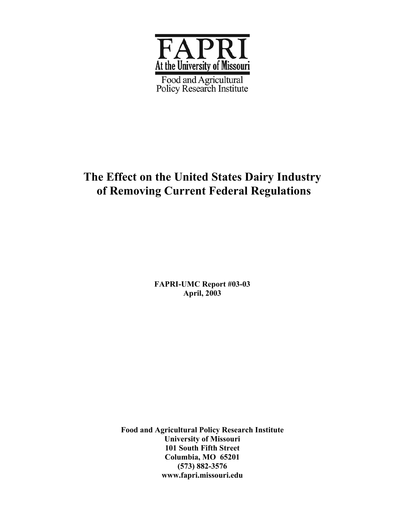

# **The Effect on the United States Dairy Industry of Removing Current Federal Regulations**

**FAPRI-UMC Report #03-03 April, 2003** 

**Food and Agricultural Policy Research Institute University of Missouri 101 South Fifth Street Columbia, MO 65201 (573) 882-3576 www.fapri.missouri.edu**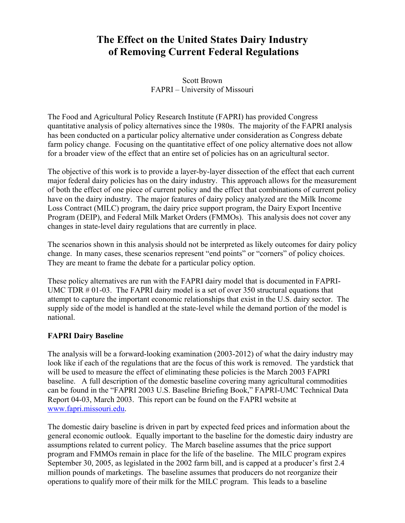# **The Effect on the United States Dairy Industry of Removing Current Federal Regulations**

Scott Brown FAPRI – University of Missouri

The Food and Agricultural Policy Research Institute (FAPRI) has provided Congress quantitative analysis of policy alternatives since the 1980s. The majority of the FAPRI analysis has been conducted on a particular policy alternative under consideration as Congress debate farm policy change. Focusing on the quantitative effect of one policy alternative does not allow for a broader view of the effect that an entire set of policies has on an agricultural sector.

The objective of this work is to provide a layer-by-layer dissection of the effect that each current major federal dairy policies has on the dairy industry. This approach allows for the measurement of both the effect of one piece of current policy and the effect that combinations of current policy have on the dairy industry. The major features of dairy policy analyzed are the Milk Income Loss Contract (MILC) program, the dairy price support program, the Dairy Export Incentive Program (DEIP), and Federal Milk Market Orders (FMMOs). This analysis does not cover any changes in state-level dairy regulations that are currently in place.

The scenarios shown in this analysis should not be interpreted as likely outcomes for dairy policy change. In many cases, these scenarios represent "end points" or "corners" of policy choices. They are meant to frame the debate for a particular policy option.

These policy alternatives are run with the FAPRI dairy model that is documented in FAPRI-UMC TDR # 01-03. The FAPRI dairy model is a set of over 350 structural equations that attempt to capture the important economic relationships that exist in the U.S. dairy sector. The supply side of the model is handled at the state-level while the demand portion of the model is national.

## **FAPRI Dairy Baseline**

The analysis will be a forward-looking examination (2003-2012) of what the dairy industry may look like if each of the regulations that are the focus of this work is removed. The yardstick that will be used to measure the effect of eliminating these policies is the March 2003 FAPRI baseline. A full description of the domestic baseline covering many agricultural commodities can be found in the "FAPRI 2003 U.S. Baseline Briefing Book," FAPRI-UMC Technical Data Report 04-03, March 2003. This report can be found on the FAPRI website at www.fapri.missouri.edu.

The domestic dairy baseline is driven in part by expected feed prices and information about the general economic outlook. Equally important to the baseline for the domestic dairy industry are assumptions related to current policy. The March baseline assumes that the price support program and FMMOs remain in place for the life of the baseline. The MILC program expires September 30, 2005, as legislated in the 2002 farm bill, and is capped at a producer's first 2.4 million pounds of marketings. The baseline assumes that producers do not reorganize their operations to qualify more of their milk for the MILC program. This leads to a baseline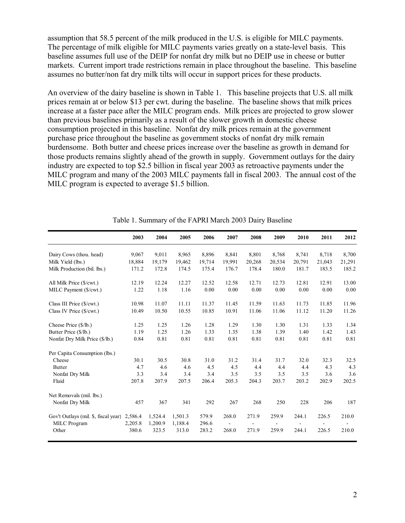assumption that 58.5 percent of the milk produced in the U.S. is eligible for MILC payments. The percentage of milk eligible for MILC payments varies greatly on a state-level basis. This baseline assumes full use of the DEIP for nonfat dry milk but no DEIP use in cheese or butter markets. Current import trade restrictions remain in place throughout the baseline. This baseline assumes no butter/non fat dry milk tilts will occur in support prices for these products.

An overview of the dairy baseline is shown in Table 1. This baseline projects that U.S. all milk prices remain at or below \$13 per cwt. during the baseline. The baseline shows that milk prices increase at a faster pace after the MILC program ends. Milk prices are projected to grow slower than previous baselines primarily as a result of the slower growth in domestic cheese consumption projected in this baseline. Nonfat dry milk prices remain at the government purchase price throughout the baseline as government stocks of nonfat dry milk remain burdensome. Both butter and cheese prices increase over the baseline as growth in demand for those products remains slightly ahead of the growth in supply. Government outlays for the dairy industry are expected to top \$2.5 billion in fiscal year 2003 as retroactive payments under the MILC program and many of the 2003 MILC payments fall in fiscal 2003. The annual cost of the MILC program is expected to average \$1.5 billion.

|                                      | 2003    | 2004    | 2005    | 2006   | 2007           | 2008                     | 2009                     | 2010                     | 2011   | 2012   |
|--------------------------------------|---------|---------|---------|--------|----------------|--------------------------|--------------------------|--------------------------|--------|--------|
| Dairy Cows (thou. head)              | 9,067   | 9,011   | 8,965   | 8,896  | 8,841          | 8,801                    | 8,768                    | 8,741                    | 8,718  | 8,700  |
| Milk Yield (lbs.)                    | 18,884  | 19,179  | 19,462  | 19,714 | 19,991         | 20,268                   | 20,534                   | 20,791                   | 21,043 | 21,291 |
| Milk Production (bil. lbs.)          | 171.2   | 172.8   | 174.5   | 175.4  | 176.7          | 178.4                    | 180.0                    | 181.7                    | 183.5  | 185.2  |
| All Milk Price (\$/cwt.)             | 12.19   | 12.24   | 12.27   | 12.52  | 12.58          | 12.71                    | 12.73                    | 12.81                    | 12.91  | 13.00  |
| MILC Payment (\$/cwt.)               | 1.22    | 1.18    | 1.16    | 0.00   | 0.00           | 0.00                     | 0.00                     | 0.00                     | 0.00   | 0.00   |
| Class III Price (\$/cwt.)            | 10.98   | 11.07   | 11.11   | 11.37  | 11.45          | 11.59                    | 11.63                    | 11.73                    | 11.85  | 11.96  |
| Class IV Price (\$/cwt.)             | 10.49   | 10.50   | 10.55   | 10.85  | 10.91          | 11.06                    | 11.06                    | 11.12                    | 11.20  | 11.26  |
| Cheese Price (\$/lb.)                | 1.25    | 1.25    | 1.26    | 1.28   | 1.29           | 1.30                     | 1.30                     | 1.31                     | 1.33   | 1.34   |
| Butter Price (\$/lb.)                | 1.19    | 1.25    | 1.26    | 1.33   | 1.35           | 1.38                     | 1.39                     | 1.40                     | 1.42   | 1.43   |
| Nonfat Dry Milk Price (\$/lb.)       | 0.84    | 0.81    | 0.81    | 0.81   | 0.81           | 0.81                     | 0.81                     | 0.81                     | 0.81   | 0.81   |
| Per Capita Consumption (lbs.)        |         |         |         |        |                |                          |                          |                          |        |        |
| Cheese                               | 30.1    | 30.5    | 30.8    | 31.0   | 31.2           | 31.4                     | 31.7                     | 32.0                     | 32.3   | 32.5   |
| <b>Butter</b>                        | 4.7     | 4.6     | 4.6     | 4.5    | 4.5            | 4.4                      | 4.4                      | 4.4                      | 4.3    | 4.3    |
| Nonfat Dry Milk                      | 3.3     | 3.4     | 3.4     | 3.4    | 3.5            | 3.5                      | 3.5                      | 3.5                      | 3.6    | 3.6    |
| Fluid                                | 207.8   | 207.9   | 207.5   | 206.4  | 205.3          | 204.3                    | 203.7                    | 203.2                    | 202.9  | 202.5  |
| Net Removals (mil. lbs.)             |         |         |         |        |                |                          |                          |                          |        |        |
| Nonfat Dry Milk                      | 457     | 367     | 341     | 292    | 267            | 268                      | 250                      | 228                      | 206    | 187    |
| Gov't Outlays (mil. \$, fiscal year) | 2,586.4 | 1,524.4 | 1,501.3 | 579.9  | 268.0          | 271.9                    | 259.9                    | 244.1                    | 226.5  | 210.0  |
| MILC Program                         | 2,205.8 | 1,200.9 | 1,188.4 | 296.6  | $\blacksquare$ | $\overline{\phantom{a}}$ | $\overline{\phantom{a}}$ | $\overline{\phantom{a}}$ |        |        |
| Other                                | 380.6   | 323.5   | 313.0   | 283.2  | 268.0          | 271.9                    | 259.9                    | 244.1                    | 226.5  | 210.0  |

Table 1. Summary of the FAPRI March 2003 Dairy Baseline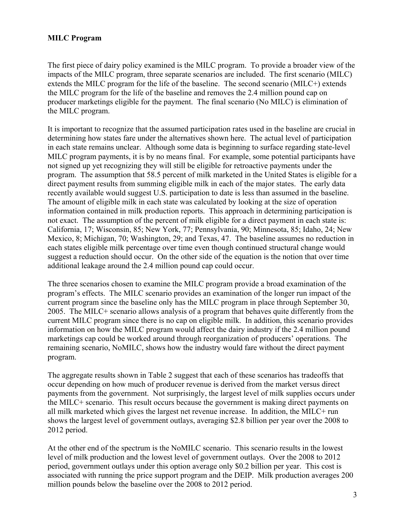## **MILC Program**

The first piece of dairy policy examined is the MILC program. To provide a broader view of the impacts of the MILC program, three separate scenarios are included. The first scenario (MILC) extends the MILC program for the life of the baseline. The second scenario (MILC+) extends the MILC program for the life of the baseline and removes the 2.4 million pound cap on producer marketings eligible for the payment. The final scenario (No MILC) is elimination of the MILC program.

It is important to recognize that the assumed participation rates used in the baseline are crucial in determining how states fare under the alternatives shown here. The actual level of participation in each state remains unclear. Although some data is beginning to surface regarding state-level MILC program payments, it is by no means final. For example, some potential participants have not signed up yet recognizing they will still be eligible for retroactive payments under the program. The assumption that 58.5 percent of milk marketed in the United States is eligible for a direct payment results from summing eligible milk in each of the major states. The early data recently available would suggest U.S. participation to date is less than assumed in the baseline. The amount of eligible milk in each state was calculated by looking at the size of operation information contained in milk production reports. This approach in determining participation is not exact. The assumption of the percent of milk eligible for a direct payment in each state is: California, 17; Wisconsin, 85; New York, 77; Pennsylvania, 90; Minnesota, 85; Idaho, 24; New Mexico, 8; Michigan, 70; Washington, 29; and Texas, 47. The baseline assumes no reduction in each states eligible milk percentage over time even though continued structural change would suggest a reduction should occur. On the other side of the equation is the notion that over time additional leakage around the 2.4 million pound cap could occur.

The three scenarios chosen to examine the MILC program provide a broad examination of the program's effects. The MILC scenario provides an examination of the longer run impact of the current program since the baseline only has the MILC program in place through September 30, 2005. The MILC+ scenario allows analysis of a program that behaves quite differently from the current MILC program since there is no cap on eligible milk. In addition, this scenario provides information on how the MILC program would affect the dairy industry if the 2.4 million pound marketings cap could be worked around through reorganization of producers' operations. The remaining scenario, NoMILC, shows how the industry would fare without the direct payment program.

The aggregate results shown in Table 2 suggest that each of these scenarios has tradeoffs that occur depending on how much of producer revenue is derived from the market versus direct payments from the government. Not surprisingly, the largest level of milk supplies occurs under the MILC+ scenario. This result occurs because the government is making direct payments on all milk marketed which gives the largest net revenue increase. In addition, the MILC+ run shows the largest level of government outlays, averaging \$2.8 billion per year over the 2008 to 2012 period.

At the other end of the spectrum is the NoMILC scenario. This scenario results in the lowest level of milk production and the lowest level of government outlays. Over the 2008 to 2012 period, government outlays under this option average only \$0.2 billion per year. This cost is associated with running the price support program and the DEIP. Milk production averages 200 million pounds below the baseline over the 2008 to 2012 period.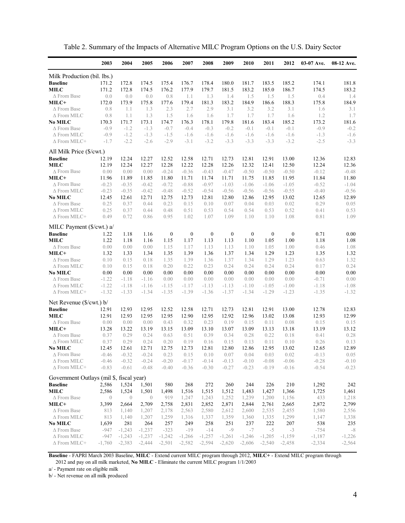|                                             | 2003             | 2004             | 2005             | 2006             | 2007             | 2008             | 2009             | 2010             | 2011             | 2012             | $03-07$ Ave.     | 08-12 Ave.       |
|---------------------------------------------|------------------|------------------|------------------|------------------|------------------|------------------|------------------|------------------|------------------|------------------|------------------|------------------|
| Milk Production (bil. lbs.)                 |                  |                  |                  |                  |                  |                  |                  |                  |                  |                  |                  |                  |
| <b>Baseline</b>                             | 171.2            | 172.8            | 174.5            | 175.4            | 176.7            | 178.4            | 180.0            | 181.7            | 183.5            | 185.2            | 174.1            | 181.8            |
| MILC                                        | 171.2            | 172.8            | 174.5            | 176.2            | 177.9            | 179.7            | 181.5            | 183.2            | 185.0            | 186.7            | 174.5            | 183.2            |
| $\triangle$ From Base                       | 0.0              | 0.0              | 0.0              | 0.8              | 1.1              | 1.3              | 1.4              | 1.5              | 1.5              | 1.5              | 0.4              | 1.4              |
| MILC+                                       | 172.0            | 173.9            | 175.8            | 177.6            | 179.4            | 181.3            | 183.2            | 184.9            | 186.6            | 188.3            | 175.8            | 184.9            |
| $\triangle$ From Base                       | 0.8              | 1.1              | 1.3              | 2.3              | 2.7              | 2.9              | 3.1              | 3.2              | 3.2              | 3.1              | 1.6              | 3.1              |
| $\Delta$ From MILC                          | 0.8              | 1.1              | 1.3              | 1.5              | 1.6              | 1.6              | 1.7              | 1.7              | 1.7              | 1.6              | 1.2              | 1.7              |
| No MILC                                     | 170.3            | 171.7            | 173.1            | 174.7            | 176.3            | 178.1            | 179.8            | 181.6            | 183.4            | 185.2            | 173.2            | 181.6            |
| $\triangle$ From Base                       | $-0.9$           | $-1.2$           | $-1.3$           | $-0.7$           | $-0.4$           | $-0.3$           | $-0.2$           | $-0.1$           | $-0.1$           | $-0.1$           | $-0.9$           | $-0.2$           |
| $\Delta$ From MILC<br>$\Delta$ From MILC+   | $-0.9$<br>$-1.7$ | $-1.2$<br>$-2.2$ | $-1.3$<br>$-2.6$ | $-1.5$<br>$-2.9$ | $-1.6$<br>$-3.1$ | $-1.6$<br>$-3.2$ | $-1.6$<br>$-3.3$ | $-1.6$<br>$-3.3$ | $-1.6$<br>$-3.3$ | $-1.6$<br>$-3.2$ | $-1.3$<br>$-2.5$ | $-1.6$<br>$-3.3$ |
|                                             |                  |                  |                  |                  |                  |                  |                  |                  |                  |                  |                  |                  |
| All Milk Price (\$/cwt.)<br><b>Baseline</b> | 12.19            | 12.24            | 12.27            | 12.52            | 12.58            | 12.71            | 12.73            | 12.81            | 12.91            | 13.00            | 12.36            | 12.83            |
| MILC                                        | 12.19            | 12.24            | 12.27            | 12.28            | 12.22            | 12.28            | 12.26            | 12.32            | 12.41            | 12.50            | 12.24            | 12.36            |
| $\Delta$ From Base                          | 0.00             | 0.00             | 0.00             | $-0.24$          | $-0.36$          | $-0.43$          | $-0.47$          | $-0.50$          | $-0.50$          | $-0.50$          | $-0.12$          | $-0.48$          |
| MILC+                                       | 11.96            | 11.89            | 11.85            | 11.80            | 11.71            | 11.74            | 11.71            | 11.75            | 11.85            | 11.95            | 11.84            | 11.80            |
| $\Delta$ From Base                          | $-0.23$          | $-0.35$          | $-0.42$          | $-0.72$          | $-0.88$          | $-0.97$          | $-1.03$          | $-1.06$          | $-1.06$          | $-1.05$          | $-0.52$          | $-1.04$          |
| $\Delta$ From MILC                          | $-0.23$          | $-0.35$          | $-0.42$          | $-0.48$          | $-0.52$          | $-0.54$          | $-0.56$          | $-0.56$          | $-0.56$          | $-0.55$          | $-0.40$          | $-0.56$          |
| No MILC                                     | 12.45            | 12.61            | 12.71            | 12.75            | 12.73            | 12.81            | 12.80            | 12.86            | 12.95            | 13.02            | 12.65            | 12.89            |
| $\Delta$ From Base                          | 0.25             | 0.37             | 0.44             | 0.23             | 0.15             | 0.10             | 0.07             | 0.04             | 0.03             | 0.02             | 0.29             | 0.05             |
| $\Delta$ From MILC                          | 0.25             | 0.37             | 0.44             | 0.48             | 0.51             | 0.53             | 0.54             | 0.54             | 0.53             | 0.52             | 0.41             | 0.53             |
| $\Delta$ From MILC+                         | 0.49             | 0.72             | 0.86             | 0.95             | 1.02             | 1.07             | 1.09             | 1.10             | 1.10             | 1.08             | 0.81             | 1.09             |
| MILC Payment (\$/cwt.) a/                   |                  |                  |                  |                  |                  |                  |                  |                  |                  |                  |                  |                  |
| <b>Baseline</b>                             | 1.22             | 1.18             | 1.16             | $\boldsymbol{0}$ | $\boldsymbol{0}$ | $\boldsymbol{0}$ | $\boldsymbol{0}$ | $\boldsymbol{0}$ | $\boldsymbol{0}$ | $\boldsymbol{0}$ | 0.71             | 0.00             |
| <b>MILC</b>                                 | 1.22             | 1.18             | 1.16             | 1.15             | 1.17             | 1.13             | 1.13             | 1.10             | 1.05             | 1.00             | 1.18             | 1.08             |
| $\Delta$ From Base                          | 0.00             | 0.00             | 0.00             | 1.15             | 1.17             | 1.13             | 1.13             | 1.10             | 1.05             | 1.00             | 0.46             | 1.08             |
| MILC+                                       | 1.32             | 1.33             | 1.34             | 1.35             | 1.39             | 1.36             | 1.37             | 1.34             | 1.29             | 1.23             | 1.35             | 1.32             |
| $\Delta$ From Base                          | 0.10             | 0.15             | 0.18             | 1.35             | 1.39             | 1.36             | 1.37             | 1.34             | 1.29             | 1.23             | 0.63             | 1.32             |
| $\Delta$ From MILC                          | 0.10             | 0.15             | 0.18             | 0.20             | 0.22             | 0.23             | 0.24             | 0.24             | 0.24             | 0.24             | 0.17             | 0.24             |
| No MILC                                     | 0.00             | 0.00             | 0.00             | 0.00             | 0.00             | 0.00             | 0.00             | 0.00             | 0.00             | 0.00             | 0.00             | 0.00             |
| $\triangle$ From Base                       | $-1.22$          | $-1.18$          | $-1.16$          | 0.00             | 0.00             | 0.00             | 0.00             | 0.00             | 0.00             | 0.00             | $-0.71$          | 0.00             |
| $\Delta$ From MILC                          | $-1.22$          | $-1.18$          | $-1.16$          | $-1.15$          | $-1.17$          | $-1.13$          | $-1.13$          | $-1.10$          | $-1.05$          | $-1.00$          | $-1.18$          | $-1.08$          |
| $\Delta$ From MILC+                         | $-1.32$          | $-1.33$          | $-1.34$          | $-1.35$          | $-1.39$          | $-1.36$          | $-1.37$          | $-1.34$          | $-1.29$          | $-1.23$          | $-1.35$          | $-1.32$          |
| Net Revenue (\$/cwt.) b/                    |                  |                  |                  |                  |                  |                  |                  |                  |                  |                  |                  |                  |
| <b>Baseline</b>                             | 12.91            | 12.93            | 12.95            | 12.52            | 12.58            | 12.71            | 12.73            | 12.81            | 12.91            | 13.00            | 12.78            | 12.83            |
| <b>MILC</b>                                 | 12.91            | 12.93            | 12.95            | 12.95            | 12.90            | 12.95            | 12.92            | 12.96            | 13.02            | 13.08            | 12.93            | 12.99            |
| $\Delta$ From Base                          | 0.00             | 0.00<br>13.22    | 0.00             | 0.43             | 0.32             | 0.23             | 0.19             | 0.15             | 0.11             | 0.08             | 0.15             | 0.15             |
| MILC+<br>$\Delta$ From Base                 | 13.28<br>0.37    | 0.29             | 13.19<br>0.24    | 13.15<br>0.63    | 13.09<br>0.51    | 13.10<br>0.39    | 13.07<br>0.34    | 13.09<br>0.28    | 13.13<br>0.22    | 13.18<br>0.18    | 13.19<br>0.41    | 13.12<br>0.28    |
| $\Delta$ From MILC                          | 0.37             | 0.29             | 0.24             | 0.20             | 0.19             | 0.16             | 0.15             | 0.13             | 0.11             | 0.10             | 0.26             | 0.13             |
| No MILC                                     | 12.45            | 12.61            | 12.71            | 12.75            | 12.73            | 12.81            | 12.80            | 12.86            | 12.95            | 13.02            | 12.65            | 12.89            |
| $\Delta$ From Base                          | $-0.46$          | $-0.32$          | $-0.24$          | 0.23             | 0.15             | 0.10             | 0.07             | 0.04             | 0.03             | 0.02             | $-0.13$          | 0.05             |
| $\Delta$ From MILC                          | $-0.46$          | $-0.32$          | $-0.24$          | $-0.20$          | $-0.17$          | $-0.14$          | $-0.13$          | $-0.10$          | $-0.08$          | $-0.06$          | $-0.28$          | $-0.10$          |
| $\Delta$ From MILC+                         | $-0.83$          | $-0.61$          | $-0.48$          | $-0.40$          | $-0.36$          | $-0.30$          | $-0.27$          | $-0.23$          | $-0.19$          | $-0.16$          | $-0.54$          | $-0.23$          |
| Government Outlays (mil \$, fiscal year)    |                  |                  |                  |                  |                  |                  |                  |                  |                  |                  |                  |                  |
| <b>Baseline</b>                             | 2,586            | 1,524            | 1,501            | 580              | 268              | 272              | 260              | 244              | 226              | 210              | 1,292            | 242              |
| <b>MILC</b>                                 | 2,586            | 1,524            | 1,501            | 1,498            | 1,516            | 1,515            | 1,512            | 1,483            | 1,427            | 1,366            | 1,725            | 1,461            |
| ∆ From Base                                 | $\overline{0}$   | $\theta$         | $\overline{0}$   | 919              | 1,247            | 1,243            | 1,252            | 1,239            | 1,200            | 1,156            | 433              | 1,218            |
| MILC+                                       | 3,399            | 2,664            | 2,709            | 2,758            | 2,831            | 2,852            | 2,871            | 2,844            | 2,761            | 2,665            | 2,872            | 2,799            |
| $\Delta$ From Base                          | 813              | 1,140            | 1,207            | 2,178            | 2,563            | 2,580            | 2,612            | 2,600            | 2,535            | 2,455            | 1,580            | 2,556            |
| $\Delta$ From MILC                          | 813              | 1,140            | 1,207            | 1,259            | 1,316            | 1,337            | 1,359            | 1,360            | 1,335            | 1,299            | 1,147            | 1,338            |
| No MILC                                     | 1,639            | 281              | 264              | 257              | 249              | 258              | 251              | 237              | 222              | 207              | 538              | 235              |
| $\triangle$ From Base                       | $-947$           | $-1,243$         | $-1,237$         | $-323$           | $-19$            | $-14$            | -9               | $-7$             | $-5$             | $-3$             | $-754$           | $-8$             |
| $\Delta$ From MILC                          | $-947$           | $-1,243$         | $-1,237$         | $-1,242$         | $-1,266$         | $-1,257$         | $-1,261$         | $-1,246$         | $-1,205$         | $-1,159$         | $-1,187$         | $-1,226$         |
| ∆ From MILC+                                | $-1,760$         | $-2,383$         | $-2,444$         | $-2,501$         | $-2,582$         | $-2,594$         | $-2,620$         | $-2,606$         | $-2,540$         | $-2,458$         | $-2,334$         | $-2,564$         |

Table 2. Summary of the Impacts of Alternative MILC Program Options on the U.S. Dairy Sector

**Baseline** - FAPRI March 2003 Baseline, **MILC** - Extend current MILC program through 2012, **MILC+** - Extend MILC program through

2012 and pay on all milk marketed, **No MILC** - Eliminate the current MILC program 1/1/2003

a/ - Payment rate on eligible milk

b/ - Net revenue on all milk produced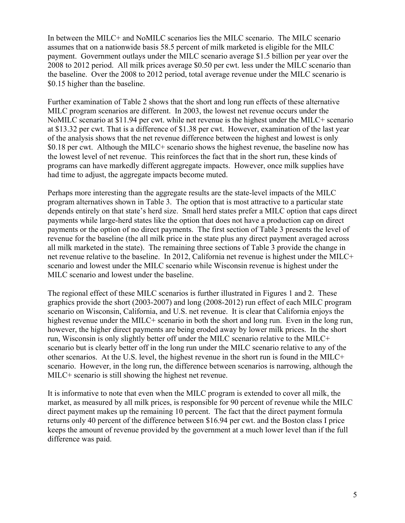In between the MILC+ and NoMILC scenarios lies the MILC scenario. The MILC scenario assumes that on a nationwide basis 58.5 percent of milk marketed is eligible for the MILC payment. Government outlays under the MILC scenario average \$1.5 billion per year over the 2008 to 2012 period. All milk prices average \$0.50 per cwt. less under the MILC scenario than the baseline. Over the 2008 to 2012 period, total average revenue under the MILC scenario is \$0.15 higher than the baseline.

Further examination of Table 2 shows that the short and long run effects of these alternative MILC program scenarios are different. In 2003, the lowest net revenue occurs under the NoMILC scenario at \$11.94 per cwt. while net revenue is the highest under the MILC+ scenario at \$13.32 per cwt. That is a difference of \$1.38 per cwt. However, examination of the last year of the analysis shows that the net revenue difference between the highest and lowest is only \$0.18 per cwt. Although the MILC+ scenario shows the highest revenue, the baseline now has the lowest level of net revenue. This reinforces the fact that in the short run, these kinds of programs can have markedly different aggregate impacts. However, once milk supplies have had time to adjust, the aggregate impacts become muted.

Perhaps more interesting than the aggregate results are the state-level impacts of the MILC program alternatives shown in Table 3. The option that is most attractive to a particular state depends entirely on that state's herd size. Small herd states prefer a MILC option that caps direct payments while large-herd states like the option that does not have a production cap on direct payments or the option of no direct payments. The first section of Table 3 presents the level of revenue for the baseline (the all milk price in the state plus any direct payment averaged across all milk marketed in the state). The remaining three sections of Table 3 provide the change in net revenue relative to the baseline. In 2012, California net revenue is highest under the MILC+ scenario and lowest under the MILC scenario while Wisconsin revenue is highest under the MILC scenario and lowest under the baseline.

The regional effect of these MILC scenarios is further illustrated in Figures 1 and 2. These graphics provide the short (2003-2007) and long (2008-2012) run effect of each MILC program scenario on Wisconsin, California, and U.S. net revenue. It is clear that California enjoys the highest revenue under the MILC+ scenario in both the short and long run. Even in the long run, however, the higher direct payments are being eroded away by lower milk prices. In the short run, Wisconsin is only slightly better off under the MILC scenario relative to the MILC+ scenario but is clearly better off in the long run under the MILC scenario relative to any of the other scenarios. At the U.S. level, the highest revenue in the short run is found in the MILC+ scenario. However, in the long run, the difference between scenarios is narrowing, although the MILC+ scenario is still showing the highest net revenue.

It is informative to note that even when the MILC program is extended to cover all milk, the market, as measured by all milk prices, is responsible for 90 percent of revenue while the MILC direct payment makes up the remaining 10 percent. The fact that the direct payment formula returns only 40 percent of the difference between \$16.94 per cwt. and the Boston class I price keeps the amount of revenue provided by the government at a much lower level than if the full difference was paid.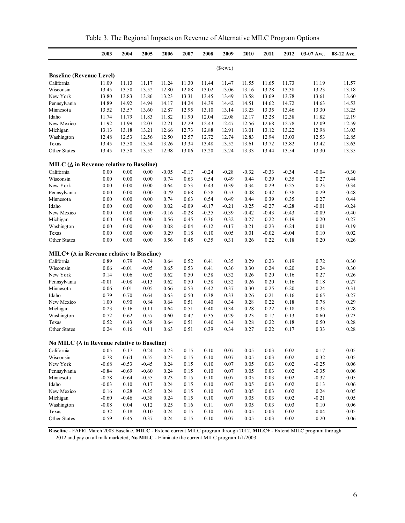| Table 3. The Regional Impacts on Revenue of Alternative MILC Program Options |  |  |  |
|------------------------------------------------------------------------------|--|--|--|
|                                                                              |  |  |  |

|                                                    | 2003    | 2004     | 2005    | 2006    | 2007    | 2008    | 2009        | 2010    | 2011    | 2012    | 03-07 Ave. | 08-12 Ave. |
|----------------------------------------------------|---------|----------|---------|---------|---------|---------|-------------|---------|---------|---------|------------|------------|
|                                                    |         |          |         |         |         |         | $(\$/cwt.)$ |         |         |         |            |            |
| <b>Baseline (Revenue Level)</b>                    |         |          |         |         |         |         |             |         |         |         |            |            |
| California                                         | 11.09   | 11.13    | 11.17   | 11.24   | 11.30   | 11.44   | 11.47       | 11.55   | 11.65   | 11.73   | 11.19      | 11.57      |
| Wisconsin                                          | 13.45   | 13.50    | 13.52   | 12.80   | 12.88   | 13.02   | 13.06       | 13.16   | 13.28   | 13.38   | 13.23      | 13.18      |
| New York                                           | 13.80   | 13.83    | 13.86   | 13.23   | 13.31   | 13.45   | 13.49       | 13.58   | 13.69   | 13.78   | 13.61      | 13.60      |
| Pennsylvania                                       | 14.89   | 14.92    | 14.94   | 14.17   | 14.24   | 14.39   | 14.42       | 14.51   | 14.62   | 14.72   | 14.63      | 14.53      |
| Minnesota                                          | 13.52   | 13.57    | 13.60   | 12.87   | 12.95   | 13.10   | 13.14       | 13.23   | 13.35   | 13.46   | 13.30      | 13.25      |
| Idaho                                              | 11.74   | 11.79    | 11.83   | 11.82   | 11.90   | 12.04   | 12.08       | 12.17   | 12.28   | 12.38   | 11.82      | 12.19      |
| New Mexico                                         | 11.92   | 11.99    | 12.03   | 12.21   | 12.29   | 12.43   | 12.47       | 12.56   | 12.68   | 12.78   | 12.09      | 12.59      |
| Michigan                                           | 13.13   | 13.18    | 13.21   | 12.66   | 12.73   | 12.88   | 12.91       | 13.01   | 13.12   | 13.22   | 12.98      | 13.03      |
| Washington                                         | 12.48   | 12.53    | 12.56   | 12.50   | 12.57   | 12.72   | 12.74       | 12.83   | 12.94   | 13.03   | 12.53      | 12.85      |
| Texas                                              | 13.45   | 13.50    | 13.54   | 13.26   | 13.34   | 13.48   | 13.52       | 13.61   | 13.72   | 13.82   | 13.42      | 13.63      |
| Other States                                       | 13.45   | 13.50    | 13.52   | 12.98   | 13.06   | 13.20   | 13.24       | 13.33   | 13.44   | 13.54   | 13.30      | 13.35      |
| MILC $(\Delta$ in Revenue relative to Baseline)    |         |          |         |         |         |         |             |         |         |         |            |            |
| California                                         | 0.00    | 0.00     | 0.00    | $-0.05$ | $-0.17$ | $-0.24$ | $-0.28$     | $-0.32$ | $-0.33$ | $-0.34$ | $-0.04$    | $-0.30$    |
| Wisconsin                                          | 0.00    | 0.00     | 0.00    | 0.74    | 0.63    | 0.54    | 0.49        | 0.44    | 0.39    | 0.35    | 0.27       | 0.44       |
| New York                                           | 0.00    | 0.00     | 0.00    | 0.64    | 0.53    | 0.43    | 0.39        | 0.34    | 0.29    | 0.25    | 0.23       | 0.34       |
| Pennsylvania                                       | 0.00    | 0.00     | 0.00    | 0.79    | 0.68    | 0.58    | 0.53        | 0.48    | 0.42    | 0.38    | 0.29       | 0.48       |
| Minnesota                                          | 0.00    | $0.00\,$ | 0.00    | 0.74    | 0.63    | 0.54    | 0.49        | 0.44    | 0.39    | 0.35    | 0.27       | 0.44       |
| Idaho                                              | 0.00    | 0.00     | 0.00    | 0.02    | $-0.09$ | $-0.17$ | $-0.21$     | $-0.25$ | $-0.27$ | $-0.28$ | $-0.01$    | $-0.24$    |
| New Mexico                                         | 0.00    | 0.00     | 0.00    | $-0.16$ | $-0.28$ | $-0.35$ | $-0.39$     | $-0.42$ | $-0.43$ | $-0.43$ | $-0.09$    | $-0.40$    |
| Michigan                                           | 0.00    | 0.00     | 0.00    | 0.56    | 0.45    | 0.36    | 0.32        | 0.27    | 0.22    | 0.19    | 0.20       | 0.27       |
| Washington                                         | 0.00    | 0.00     | 0.00    | 0.08    | $-0.04$ | $-0.12$ | $-0.17$     | $-0.21$ | $-0.23$ | $-0.24$ | 0.01       | $-0.19$    |
| Texas                                              | 0.00    | 0.00     | 0.00    | 0.29    | 0.18    | 0.10    | 0.05        | 0.01    | $-0.02$ | $-0.04$ | 0.10       | 0.02       |
| Other States                                       | 0.00    | 0.00     | 0.00    | 0.56    | 0.45    | 0.35    | 0.31        | 0.26    | 0.22    | 0.18    | 0.20       | 0.26       |
| MILC+ ( $\Delta$ in Revenue relative to Baseline)  |         |          |         |         |         |         |             |         |         |         |            |            |
| California                                         | 0.89    | 0.79     | 0.74    | 0.64    | 0.52    | 0.41    | 0.35        | 0.29    | 0.23    | 0.19    | 0.72       | 0.30       |
| Wisconsin                                          | 0.06    | $-0.01$  | $-0.05$ | 0.65    | 0.53    | 0.41    | 0.36        | 0.30    | 0.24    | 0.20    | 0.24       | 0.30       |
| New York                                           | 0.14    | 0.06     | 0.02    | 0.62    | 0.50    | 0.38    | 0.32        | 0.26    | 0.20    | 0.16    | 0.27       | 0.26       |
| Pennsylvania                                       | $-0.01$ | $-0.08$  | $-0.13$ | 0.62    | 0.50    | 0.38    | 0.32        | 0.26    | 0.20    | 0.16    | 0.18       | 0.27       |
| Minnesota                                          | 0.06    | $-0.01$  | $-0.05$ | 0.66    | 0.53    | 0.42    | 0.37        | 0.30    | 0.25    | 0.20    | 0.24       | 0.31       |
| Idaho                                              | 0.79    | 0.70     | 0.64    | 0.63    | 0.50    | 0.38    | 0.33        | 0.26    | 0.21    | 0.16    | 0.65       | 0.27       |
| New Mexico                                         | 1.00    | 0.90     | 0.84    | 0.64    | 0.51    | 0.40    | 0.34        | 0.28    | 0.22    | 0.18    | 0.78       | 0.29       |
| Michigan                                           | 0.23    | 0.16     | 0.11    | 0.64    | 0.51    | 0.40    | 0.34        | 0.28    | 0.22    | 0.18    | 0.33       | 0.28       |
| Washington                                         | 0.72    | 0.62     | 0.57    | 0.60    | 0.47    | 0.35    | 0.29        | 0.23    | 0.17    | 0.13    | 0.60       | 0.23       |
| Texas                                              | 0.52    | 0.43     | 0.38    | 0.64    | 0.51    | 0.40    | 0.34        | 0.28    | 0.22    | 0.18    | 0.50       | 0.28       |
| Other States                                       | 0.24    | 0.16     | 0.11    | 0.63    | 0.51    | 0.39    | 0.34        | 0.27    | 0.22    | 0.17    | 0.33       | 0.28       |
| No MILC $(\Delta$ in Revenue relative to Baseline) |         |          |         |         |         |         |             |         |         |         |            |            |
| California                                         | 0.05    | 0.17     | 0.24    | 0.23    | 0.15    | 0.10    | 0.07        | 0.05    | 0.03    | 0.02    | 0.17       | 0.05       |
| Wisconsin                                          | $-0.78$ | $-0.64$  | $-0.55$ | 0.23    | 0.15    | 0.10    | 0.07        | 0.05    | 0.03    | 0.02    | $-0.32$    | 0.05       |
| New York                                           | $-0.68$ | $-0.53$  | $-0.45$ | 0.24    | 0.15    | 0.10    | 0.07        | 0.05    | 0.03    | 0.02    | $-0.25$    | $0.06\,$   |
| Pennsylvania                                       | $-0.84$ | $-0.69$  | $-0.60$ | 0.24    | 0.15    | 0.10    | 0.07        | 0.05    | 0.03    | 0.02    | $-0.35$    | 0.06       |
| Minnesota                                          | $-0.78$ | $-0.64$  | $-0.55$ | 0.23    | 0.15    | 0.10    | 0.07        | 0.05    | 0.03    | 0.02    | $-0.32$    | 0.05       |
| Idaho                                              | $-0.03$ | 0.10     | 0.17    | 0.24    | 0.15    | 0.10    | 0.07        | 0.05    | 0.03    | 0.02    | 0.13       | 0.06       |
| New Mexico                                         | 0.16    | 0.28     | 0.35    | 0.24    | 0.15    | 0.10    | 0.07        | 0.05    | 0.03    | 0.02    | 0.24       | 0.05       |
| Michigan                                           | $-0.60$ | $-0.46$  | $-0.38$ | 0.24    | 0.15    | 0.10    | 0.07        | 0.05    | 0.03    | 0.02    | $-0.21$    | 0.05       |
| Washington                                         | $-0.08$ | 0.04     | 0.12    | 0.25    | 0.16    | 0.11    | 0.07        | 0.05    | 0.03    | 0.03    | 0.10       | 0.06       |
| Texas                                              | $-0.32$ | $-0.18$  | $-0.10$ | 0.24    | 0.15    | 0.10    | 0.07        | 0.05    | 0.03    | 0.02    | $-0.04$    | 0.05       |
| Other States                                       | $-0.59$ | $-0.45$  | $-0.37$ | 0.24    | 0.15    | 0.10    | 0.07        | 0.05    | 0.03    | 0.02    | $-0.20$    | 0.06       |

**Baseline** - FAPRI March 2003 Baseline, **MILC** - Extend current MILC program through 2012, **MILC+** - Extend MILC program through 2012 and pay on all milk marketed, **No MILC** - Eliminate the current MILC program 1/1/2003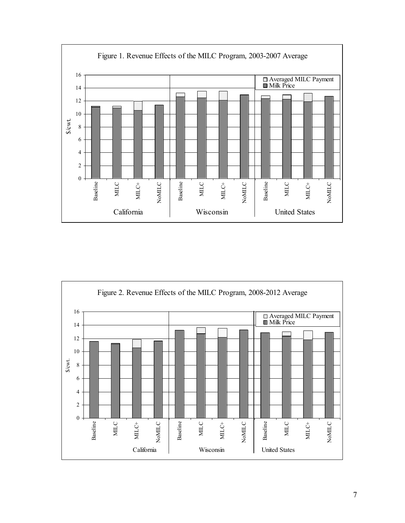

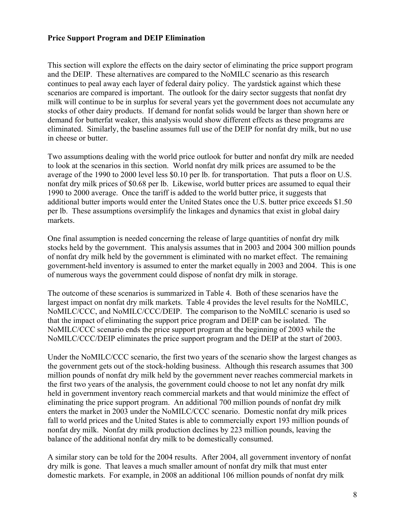#### **Price Support Program and DEIP Elimination**

This section will explore the effects on the dairy sector of eliminating the price support program and the DEIP. These alternatives are compared to the NoMILC scenario as this research continues to peal away each layer of federal dairy policy. The yardstick against which these scenarios are compared is important. The outlook for the dairy sector suggests that nonfat dry milk will continue to be in surplus for several years yet the government does not accumulate any stocks of other dairy products. If demand for nonfat solids would be larger than shown here or demand for butterfat weaker, this analysis would show different effects as these programs are eliminated. Similarly, the baseline assumes full use of the DEIP for nonfat dry milk, but no use in cheese or butter.

Two assumptions dealing with the world price outlook for butter and nonfat dry milk are needed to look at the scenarios in this section. World nonfat dry milk prices are assumed to be the average of the 1990 to 2000 level less \$0.10 per lb. for transportation. That puts a floor on U.S. nonfat dry milk prices of \$0.68 per lb. Likewise, world butter prices are assumed to equal their 1990 to 2000 average. Once the tariff is added to the world butter price, it suggests that additional butter imports would enter the United States once the U.S. butter price exceeds \$1.50 per lb. These assumptions oversimplify the linkages and dynamics that exist in global dairy markets.

One final assumption is needed concerning the release of large quantities of nonfat dry milk stocks held by the government. This analysis assumes that in 2003 and 2004 300 million pounds of nonfat dry milk held by the government is eliminated with no market effect. The remaining government-held inventory is assumed to enter the market equally in 2003 and 2004. This is one of numerous ways the government could dispose of nonfat dry milk in storage.

The outcome of these scenarios is summarized in Table 4. Both of these scenarios have the largest impact on nonfat dry milk markets. Table 4 provides the level results for the NoMILC, NoMILC/CCC, and NoMILC/CCC/DEIP. The comparison to the NoMILC scenario is used so that the impact of eliminating the support price program and DEIP can be isolated. The NoMILC/CCC scenario ends the price support program at the beginning of 2003 while the NoMILC/CCC/DEIP eliminates the price support program and the DEIP at the start of 2003.

Under the NoMILC/CCC scenario, the first two years of the scenario show the largest changes as the government gets out of the stock-holding business. Although this research assumes that 300 million pounds of nonfat dry milk held by the government never reaches commercial markets in the first two years of the analysis, the government could choose to not let any nonfat dry milk held in government inventory reach commercial markets and that would minimize the effect of eliminating the price support program. An additional 700 million pounds of nonfat dry milk enters the market in 2003 under the NoMILC/CCC scenario. Domestic nonfat dry milk prices fall to world prices and the United States is able to commercially export 193 million pounds of nonfat dry milk. Nonfat dry milk production declines by 223 million pounds, leaving the balance of the additional nonfat dry milk to be domestically consumed.

A similar story can be told for the 2004 results. After 2004, all government inventory of nonfat dry milk is gone. That leaves a much smaller amount of nonfat dry milk that must enter domestic markets. For example, in 2008 an additional 106 million pounds of nonfat dry milk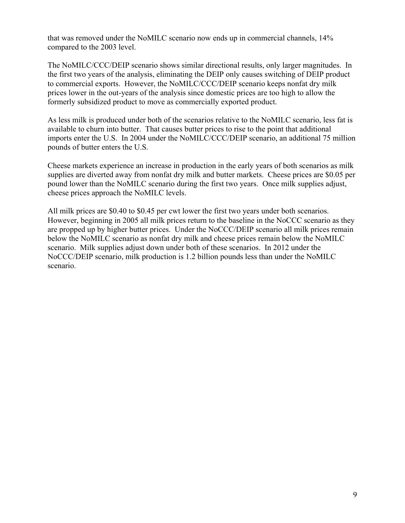that was removed under the NoMILC scenario now ends up in commercial channels, 14% compared to the 2003 level.

The NoMILC/CCC/DEIP scenario shows similar directional results, only larger magnitudes. In the first two years of the analysis, eliminating the DEIP only causes switching of DEIP product to commercial exports. However, the NoMILC/CCC/DEIP scenario keeps nonfat dry milk prices lower in the out-years of the analysis since domestic prices are too high to allow the formerly subsidized product to move as commercially exported product.

As less milk is produced under both of the scenarios relative to the NoMILC scenario, less fat is available to churn into butter. That causes butter prices to rise to the point that additional imports enter the U.S. In 2004 under the NoMILC/CCC/DEIP scenario, an additional 75 million pounds of butter enters the U.S.

Cheese markets experience an increase in production in the early years of both scenarios as milk supplies are diverted away from nonfat dry milk and butter markets. Cheese prices are \$0.05 per pound lower than the NoMILC scenario during the first two years. Once milk supplies adjust, cheese prices approach the NoMILC levels.

All milk prices are \$0.40 to \$0.45 per cwt lower the first two years under both scenarios. However, beginning in 2005 all milk prices return to the baseline in the NoCCC scenario as they are propped up by higher butter prices. Under the NoCCC/DEIP scenario all milk prices remain below the NoMILC scenario as nonfat dry milk and cheese prices remain below the NoMILC scenario. Milk supplies adjust down under both of these scenarios. In 2012 under the NoCCC/DEIP scenario, milk production is 1.2 billion pounds less than under the NoMILC scenario.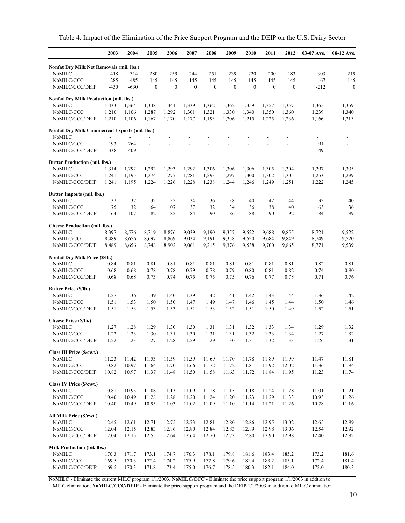|  | Table 4. Impact of the Elimination of the Price Support Program and the DEIP on the U.S. Dairy Sector |  |  |  |
|--|-------------------------------------------------------------------------------------------------------|--|--|--|
|  |                                                                                                       |  |  |  |

|                                                | 2003                     | 2004   | 2005             | 2006             | 2007             | 2008             | 2009                     | 2010                     | 2011                     | 2012             | 03-07 Ave. | 08-12 Ave.       |
|------------------------------------------------|--------------------------|--------|------------------|------------------|------------------|------------------|--------------------------|--------------------------|--------------------------|------------------|------------|------------------|
| Nonfat Dry Milk Net Removals (mil. lbs.)       |                          |        |                  |                  |                  |                  |                          |                          |                          |                  |            |                  |
| NoMILC                                         | 418                      | 314    | 280              | 259              | 244              | 251              | 239                      | 220                      | 200                      | 183              | 303        | 219              |
| NoMILC/CCC                                     | $-285$                   | $-485$ | 145              | 145              | 145              | 145              | 145                      | 145                      | 145                      | 145              | $-67$      | 145              |
| NoMILC/CCC/DEIP                                | $-430$                   | $-630$ | $\boldsymbol{0}$ | $\boldsymbol{0}$ | $\boldsymbol{0}$ | $\boldsymbol{0}$ | $\boldsymbol{0}$         | $\boldsymbol{0}$         | $\boldsymbol{0}$         | $\boldsymbol{0}$ | $-212$     | $\boldsymbol{0}$ |
| Nonfat Dry Milk Production (mil. lbs.)         |                          |        |                  |                  |                  |                  |                          |                          |                          |                  |            |                  |
| NoMILC                                         | 1,433                    | 1,364  | 1,348            | 1,341            | 1,339            | 1,362            | 1,362                    | 1,359                    | 1,357                    | 1,357            | 1,365      | 1,359            |
| NoMILC/CCC                                     | 1,210                    | 1,106  | 1,287            | 1,292            | 1,301            | 1,321            | 1,330                    | 1,340                    | 1,350                    | 1,360            | 1,239      | 1,340            |
| NoMILC/CCC/DEIP                                | 1,210                    | 1,106  | 1,167            | 1,170            | 1,177            | 1,193            | 1,206                    | 1,215                    | 1,225                    | 1,236            | 1,166      | 1,215            |
| Nonfat Dry Milk Commerical Exports (mil. lbs.) |                          |        |                  |                  |                  |                  |                          |                          |                          |                  |            |                  |
| <b>NoMILC</b>                                  | $\overline{\phantom{a}}$ |        |                  |                  |                  |                  |                          |                          |                          |                  |            |                  |
| NoMILC/CCC                                     | 193                      | 264    | $\frac{1}{2}$    |                  |                  | ٠                | $\overline{\phantom{a}}$ | $\overline{\phantom{a}}$ | $\overline{\phantom{a}}$ | Ĭ.               | 91         | -                |
| NoMILC/CCC/DEIP                                | 338                      | 409    |                  |                  |                  |                  |                          |                          |                          |                  | 149        | $\frac{1}{2}$    |
| <b>Butter Production (mil. lbs.)</b>           |                          |        |                  |                  |                  |                  |                          |                          |                          |                  |            |                  |
| NoMILC                                         | 1,314                    | 1,292  | 1,292            | 1,293            | 1,292            | 1,306            | 1,306                    | 1,306                    | 1,305                    | 1,304            | 1,297      | 1,305            |
| NoMILC/CCC                                     | 1,241                    | 1,195  | 1,274            | 1,277            | 1,281            | 1,293            | 1,297                    | 1,300                    | 1,302                    | 1,305            | 1,253      | 1,299            |
| NoMILC/CCC/DEIP                                | 1,241                    | 1,195  | 1,224            | 1,226            | 1,228            | 1,238            | 1,244                    | 1,246                    | 1,249                    | 1,251            | 1,222      | 1,245            |
| <b>Butter Imports (mil. lbs.)</b>              |                          |        |                  |                  |                  |                  |                          |                          |                          |                  |            |                  |
| NoMILC                                         | 32                       | 32     | 32               | 32               | 34               | 36               | 38                       | 40                       | 42                       | 44               | 32         | 40               |
| NoMILC/CCC                                     | 75                       | 32     | 64               | 107              | 37               | 32               | 34                       | 36                       | 38                       | 40               | 63         | 36               |
| NoMILC/CCC/DEIP                                | 64                       | 107    | 82               | 82               | 84               | 90               | 86                       | 88                       | 90                       | 92               | 84         | 89               |
| <b>Cheese Production (mil. lbs.)</b>           |                          |        |                  |                  |                  |                  |                          |                          |                          |                  |            |                  |
| NoMILC                                         | 8,397                    | 8,576  | 8,719            | 8,876            | 9,039            | 9,190            | 9,357                    | 9,522                    | 9,688                    | 9,855            | 8,721      | 9,522            |
| NoMILC/CCC                                     | 8,489                    | 8,656  | 8,697            | 8,869            | 9,034            | 9,191            | 9,358                    | 9,520                    | 9,684                    | 9,849            | 8,749      | 9,520            |
| NoMILC/CCC/DEIP                                | 8,489                    | 8,656  | 8,748            | 8,902            | 9,061            | 9,215            | 9,376                    | 9,538                    | 9,700                    | 9,865            | 8,771      | 9,539            |
| Nonfat Dry Milk Price (\$/lb.)                 |                          |        |                  |                  |                  |                  |                          |                          |                          |                  |            |                  |
| NoMILC                                         | 0.84                     | 0.81   | 0.81             | 0.81             | 0.81             | 0.81             | 0.81                     | 0.81                     | 0.81                     | 0.81             | 0.82       | 0.81             |
| NoMILC/CCC                                     | 0.68                     | 0.68   | 0.78             | 0.78             | 0.79             | 0.78             | 0.79                     | 0.80                     | 0.81                     | 0.82             | 0.74       | 0.80             |
| NoMILC/CCC/DEIP                                | 0.68                     | 0.68   | 0.73             | 0.74             | 0.75             | 0.75             | 0.75                     | 0.76                     | 0.77                     | 0.78             | 0.71       | 0.76             |
| <b>Butter Price (\$/lb.)</b>                   |                          |        |                  |                  |                  |                  |                          |                          |                          |                  |            |                  |
| NoMILC                                         | 1.27                     | 1.36   | 1.39             | 1.40             | 1.39             | 1.42             | 1.41                     | 1.42                     | 1.43                     | 1.44             | 1.36       | 1.42             |
| NoMILC/CCC                                     | 1.51                     | 1.53   | 1.50             | 1.50             | 1.47             | 1.49             | 1.47                     | 1.46                     | 1.45                     | 1.44             | 1.50       | 1.46             |
| NoMILC/CCC/DEIP                                | 1.51                     | 1.53   | 1.53             | 1.53             | 1.51             | 1.53             | 1.52                     | 1.51                     | 1.50                     | 1.49             | 1.52       | 1.51             |
| Cheese Price (\$/lb.)                          |                          |        |                  |                  |                  |                  |                          |                          |                          |                  |            |                  |
| <b>NoMILC</b>                                  | 1.27                     | 1.28   | 1.29             | 1.30             | 1.30             | 1.31             | 1.31                     | 1.32                     | 1.33                     | 1.34             | 1.29       | 1.32             |
| NoMILC/CCC                                     | 1.22                     | 1.23   | 1.30             | 1.31             | 1.30             | 1.31             | 1.31                     | 1.32                     | 1.33                     | 1.34             | 1.27       | 1.32             |
| NoMILC/CCC/DEIP                                | 1.22                     | 1.23   | 1.27             | 1.28             | 1.29             | 1.29             | 1.30                     | 1.31                     | 1.32                     | 1.33             | 1.26       | 1.31             |
| Class III Price (\$/cwt.)                      |                          |        |                  |                  |                  |                  |                          |                          |                          |                  |            |                  |
| NoMILC                                         | 11.23                    | 11.42  | 11.53            | 11.59            | 11.59            | 11.69            | 11.70                    | 11.78                    | 11.89                    | 11.99            | 11.47      | 11.81            |
| NoMILC/CCC                                     | 10.82                    | 10.97  | 11.64            | 11.70            | 11.66            | 11.72            | 11.72                    | 11.81                    | 11.92                    | 12.02            | 11.36      | 11.84            |
| NoMILC/CCC/DEIP                                | 10.82                    | 10.97  | 11.37            | 11.48            | 11.50            | 11.58            | 11.63                    | 11.72                    | 11.84                    | 11.95            | 11.23      | 11.74            |
| Class IV Price (\$/cwt.)                       |                          |        |                  |                  |                  |                  |                          |                          |                          |                  |            |                  |
| NoMILC                                         | 10.81                    | 10.95  | 11.08            | 11.13            | 11.09            | 11.18            | 11.15                    | 11.18                    | 11.24                    | 11.28            | 11.01      | 11.21            |
| NoMILC/CCC                                     | 10.40                    | 10.49  | 11.28            | 11.28            | 11.20            | 11.24            | 11.20                    | 11.23                    | 11.29                    | 11.33            | 10.93      | 11.26            |
| NoMILC/CCC/DEIP                                | 10.40                    | 10.49  | 10.95            | 11.03            | 11.02            | 11.09            | 11.10                    | 11.14                    | 11.21                    | 11.26            | 10.78      | 11.16            |
| All Milk Price (\$/cwt.)                       |                          |        |                  |                  |                  |                  |                          |                          |                          |                  |            |                  |
| NoMILC                                         | 12.45                    | 12.61  | 12.71            | 12.75            | 12.73            | 12.81            | 12.80                    | 12.86                    | 12.95                    | 13.02            | 12.65      | 12.89            |
| NoMILC/CCC                                     | 12.04                    | 12.15  | 12.83            | 12.86            | 12.80            | 12.84            | 12.83                    | 12.89                    | 12.98                    | 13.06            | 12.54      | 12.92            |
| NoMILC/CCC/DEIP                                | 12.04                    | 12.15  | 12.55            | 12.64            | 12.64            | 12.70            | 12.73                    | 12.80                    | 12.90                    | 12.98            | 12.40      | 12.82            |
| <b>Milk Production (bil. lbs.)</b>             |                          |        |                  |                  |                  |                  |                          |                          |                          |                  |            |                  |
| NoMILC                                         | 170.3                    | 171.7  | 173.1            | 174.7            | 176.3            | 178.1            | 179.8                    | 181.6                    | 183.4                    | 185.2            | 173.2      | 181.6            |
| NoMILC/CCC                                     | 169.5                    | 170.3  | 172.4            | 174.2            | 175.9            | 177.8            | 179.6                    | 181.4                    | 183.2                    | 185.1            | 172.4      | 181.4            |
| NoMILC/CCC/DEIP                                | 169.5                    | 170.3  | 171.8            | 173.4            | 175.0            | 176.7            | 178.5                    | 180.3                    | 182.1                    | 184.0            | 172.0      | 180.3            |

**NoMILC** - Eliminate the current MILC program 1/1/2003, **NoMILC/CCC** - Eliminate the price support program 1/1/2003 in addtion to MILC elimination, **NoMILC/CCC/DEIP** - Eliminate the price support program and the DEIP 1/1/2003 in addtion to MILC elimination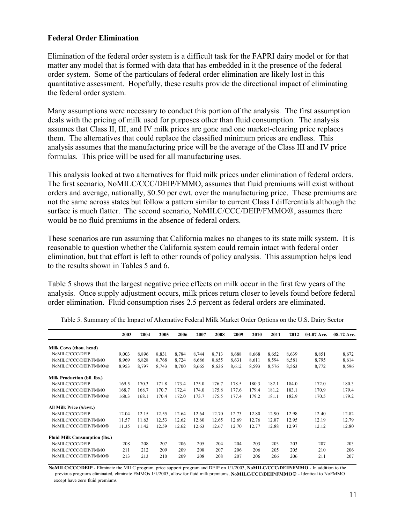#### **Federal Order Elimination**

Elimination of the federal order system is a difficult task for the FAPRI dairy model or for that matter any model that is formed with data that has embedded in it the presence of the federal order system. Some of the particulars of federal order elimination are likely lost in this quantitative assessment. Hopefully, these results provide the directional impact of eliminating the federal order system.

Many assumptions were necessary to conduct this portion of the analysis. The first assumption deals with the pricing of milk used for purposes other than fluid consumption. The analysis assumes that Class II, III, and IV milk prices are gone and one market-clearing price replaces them. The alternatives that could replace the classified minimum prices are endless. This analysis assumes that the manufacturing price will be the average of the Class III and IV price formulas. This price will be used for all manufacturing uses.

This analysis looked at two alternatives for fluid milk prices under elimination of federal orders. The first scenario, NoMILC/CCC/DEIP/FMMO, assumes that fluid premiums will exist without orders and average, nationally, \$0.50 per cwt. over the manufacturing price. These premiums are not the same across states but follow a pattern similar to current Class I differentials although the surface is much flatter. The second scenario, NoMILC/CCC/DEIP/FMMO<sup>®</sup>, assumes there would be no fluid premiums in the absence of federal orders.

These scenarios are run assuming that California makes no changes to its state milk system. It is reasonable to question whether the California system could remain intact with federal order elimination, but that effort is left to other rounds of policy analysis. This assumption helps lead to the results shown in Tables 5 and 6.

Table 5 shows that the largest negative price effects on milk occur in the first few years of the analysis. Once supply adjustment occurs, milk prices return closer to levels found before federal order elimination. Fluid consumption rises 2.5 percent as federal orders are eliminated.

|                                      | 2003  | 2004  | 2005  | 2006  | 2007  | 2008  | 2009  | 2010  | 2011  | 2012  | 03-07 Ave. | 08-12 Ave. |
|--------------------------------------|-------|-------|-------|-------|-------|-------|-------|-------|-------|-------|------------|------------|
| Milk Cows (thou. head)               |       |       |       |       |       |       |       |       |       |       |            |            |
| NoMILC/CCC/DEIP                      | 9,003 | 8,896 | 8,831 | 8,784 | 8,744 | 8,713 | 8,688 | 8,668 | 8,652 | 8,639 | 8,851      | 8,672      |
| NoMILC/CCC/DEIP/FMMO                 | 8,969 | 8,828 | 8,768 | 8,724 | 8,686 | 8,655 | 8,631 | 8,611 | 8,594 | 8,581 | 8,795      | 8,614      |
| NoMILC/CCC/DEIP/FMMO@                | 8,953 | 8,797 | 8,743 | 8,700 | 8,665 | 8,636 | 8,612 | 8,593 | 8,576 | 8,563 | 8,772      | 8,596      |
| <b>Milk Production (bil. lbs.)</b>   |       |       |       |       |       |       |       |       |       |       |            |            |
| NoMILC/CCC/DEIP                      | 169.5 | 170.3 | 171.8 | 173.4 | 175.0 | 176.7 | 178.5 | 180.3 | 182.1 | 184.0 | 172.0      | 180.3      |
| NoMILC/CCC/DEIP/FMMO                 | 168.7 | 168.7 | 170.7 | 172.4 | 174.0 | 175.8 | 177.6 | 179.4 | 181.2 | 183.1 | 170.9      | 179.4      |
| NoMILC/CCC/DEIP/FMMO@                | 168.3 | 168.1 | 170.4 | 172.0 | 173.7 | 175.5 | 177.4 | 179.2 | 181.1 | 182.9 | 170.5      | 179.2      |
| All Milk Price (\$/cwt.)             |       |       |       |       |       |       |       |       |       |       |            |            |
| NoMILC/CCC/DEIP                      | 12.04 | 12.15 | 12.55 | 12.64 | 12.64 | 12.70 | 12.73 | 12.80 | 12.90 | 12.98 | 12.40      | 12.82      |
| NoMILC/CCC/DEIP/FMMO                 | 11.57 | 11.63 | 12.53 | 12.62 | 12.60 | 12.65 | 12.69 | 12.76 | 12.87 | 12.95 | 12.19      | 12.79      |
| NoMILC/CCC/DEIP/FMMO <sup>®</sup>    | 11.35 | 11.42 | 12.59 | 12.62 | 12.63 | 12.67 | 12.70 | 12.77 | 12.88 | 12.97 | 12.12      | 12.80      |
| <b>Fluid Milk Consumption (lbs.)</b> |       |       |       |       |       |       |       |       |       |       |            |            |
| NoMILC/CCC/DEIP                      | 208   | 208   | 207   | 206   | 205   | 204   | 204   | 203   | 203   | 203   | 207        | 203        |
| NoMILC/CCC/DEIP/FMMO                 | 211   | 212   | 209   | 209   | 208   | 207   | 206   | 206   | 205   | 205   | 210        | 206        |
| NoMILC/CCC/DEIP/FMMO <sup>®</sup>    | 213   | 213   | 210   | 209   | 208   | 208   | 207   | 206   | 206   | 206   | 211        | 207        |

Table 5. Summary of the Impact of Alternative Federal Milk Market Order Options on the U.S. Dairy Sector

**NoMILC/CCC/DEIP** - Eliminate the MILC program, price support program and DEIP on 1/1/2003, **NoMILC/CCC/DEIP/FMMO** - In addition to the previous programs eliminated, eliminate FMMOs 1/1/2003, allow for fluid milk premiums, **NoMILC/CCC/DEIP/FMMO**0 - Identical to NoFMMO except have zero fluid premiums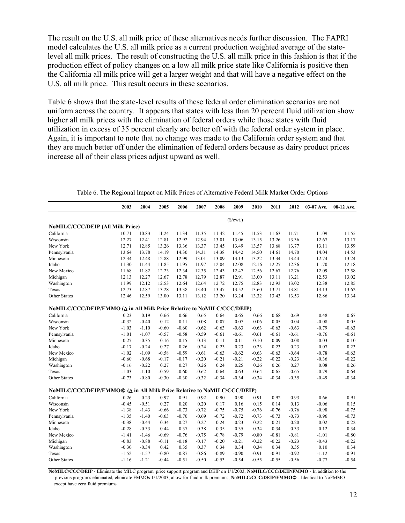The result on the U.S. all milk price of these alternatives needs further discussion. The FAPRI model calculates the U.S. all milk price as a current production weighted average of the statelevel all milk prices. The result of constructing the U.S. all milk price in this fashion is that if the production effect of policy changes on a low all milk price state like California is positive then the California all milk price will get a larger weight and that will have a negative effect on the U.S. all milk price. This result occurs in these scenarios.

Table 6 shows that the state-level results of these federal order elimination scenarios are not uniform across the country. It appears that states with less than 20 percent fluid utilization show higher all milk prices with the elimination of federal orders while those states with fluid utilization in excess of 35 percent clearly are better off with the federal order system in place. Again, it is important to note that no change was made to the California order system and that they are much better off under the elimination of federal orders because as dairy product prices increase all of their class prices adjust upward as well.

|                                                                         | 2003    | 2004    | 2005    | 2006    | 2007    | 2008    | 2009               | 2010    | 2011    | 2012    | 03-07 Ave. | 08-12 Ave. |
|-------------------------------------------------------------------------|---------|---------|---------|---------|---------|---------|--------------------|---------|---------|---------|------------|------------|
|                                                                         |         |         |         |         |         |         | ( <i>\$</i> /cut.) |         |         |         |            |            |
| <b>NoMILC/CCC/DEIP (All Milk Price)</b>                                 |         |         |         |         |         |         |                    |         |         |         |            |            |
| California                                                              | 10.71   | 10.83   | 11.24   | 11.34   | 11.35   | 11.42   | 11.45              | 11.53   | 11.63   | 11.71   | 11.09      | 11.55      |
| Wisconsin                                                               | 12.27   | 12.41   | 12.81   | 12.92   | 12.94   | 13.01   | 13.06              | 13.15   | 13.26   | 13.36   | 12.67      | 13.17      |
| New York                                                                | 12.71   | 12.85   | 13.26   | 13.36   | 13.37   | 13.45   | 13.49              | 13.57   | 13.68   | 13.77   | 13.11      | 13.59      |
| Pennsylvania                                                            | 13.64   | 13.78   | 14.19   | 14.30   | 14.31   | 14.38   | 14.42              | 14.50   | 14.61   | 14.70   | 14.04      | 14.53      |
| Minnesota                                                               | 12.34   | 12.48   | 12.88   | 12.99   | 13.01   | 13.09   | 13.13              | 13.22   | 13.34   | 13.44   | 12.74      | 13.24      |
| Idaho                                                                   | 11.30   | 11.44   | 11.85   | 11.95   | 11.97   | 12.04   | 12.08              | 12.16   | 12.27   | 12.36   | 11.70      | 12.18      |
| New Mexico                                                              | 11.68   | 11.82   | 12.23   | 12.34   | 12.35   | 12.43   | 12.47              | 12.56   | 12.67   | 12.76   | 12.09      | 12.58      |
| Michigan                                                                | 12.13   | 12.27   | 12.67   | 12.78   | 12.79   | 12.87   | 12.91              | 13.00   | 13.11   | 13.21   | 12.53      | 13.02      |
| Washington                                                              | 11.99   | 12.12   | 12.53   | 12.64   | 12.64   | 12.72   | 12.75              | 12.83   | 12.93   | 13.02   | 12.38      | 12.85      |
| Texas                                                                   | 12.73   | 12.87   | 13.28   | 13.38   | 13.40   | 13.47   | 13.52              | 13.60   | 13.71   | 13.81   | 13.13      | 13.62      |
| Other States                                                            | 12.46   | 12.59   | 13.00   | 13.11   | 13.12   | 13.20   | 13.24              | 13.32   | 13.43   | 13.53   | 12.86      | 13.34      |
| NoMILC/CCC/DEIP/FMMO (Δ in All Milk Price Relative to NoMILC/CCC/DEIP)  |         |         |         |         |         |         |                    |         |         |         |            |            |
| California                                                              | 0.23    | 0.19    | 0.66    | 0.66    | 0.65    | 0.64    | 0.65               | 0.66    | 0.68    | 0.69    | 0.48       | 0.67       |
| Wisconsin                                                               | $-0.32$ | $-0.40$ | 0.12    | 0.11    | 0.08    | 0.07    | 0.07               | 0.06    | 0.05    | 0.04    | $-0.08$    | 0.05       |
| New York                                                                | $-1.03$ | $-1.10$ | $-0.60$ | $-0.60$ | $-0.62$ | $-0.63$ | $-0.63$            | $-0.63$ | $-0.63$ | $-0.63$ | $-0.79$    | $-0.63$    |
| Pennsylvania                                                            | $-1.01$ | $-1.07$ | $-0.57$ | $-0.58$ | $-0.59$ | $-0.61$ | $-0.61$            | $-0.61$ | $-0.61$ | $-0.61$ | $-0.76$    | $-0.61$    |
| Minnesota                                                               | $-0.27$ | $-0.35$ | 0.16    | 0.15    | 0.13    | 0.11    | 0.11               | 0.10    | 0.09    | 0.08    | $-0.03$    | 0.10       |
| Idaho                                                                   | $-0.17$ | $-0.24$ | 0.27    | 0.26    | 0.24    | 0.23    | 0.23               | 0.23    | 0.23    | 0.23    | 0.07       | 0.23       |
| New Mexico                                                              | $-1.02$ | $-1.09$ | $-0.58$ | $-0.59$ | $-0.61$ | $-0.63$ | $-0.62$            | $-0.63$ | $-0.63$ | $-0.64$ | $-0.78$    | $-0.63$    |
| Michigan                                                                | $-0.60$ | $-0.68$ | $-0.17$ | $-0.17$ | $-0.20$ | $-0.21$ | $-0.21$            | $-0.22$ | $-0.22$ | $-0.23$ | $-0.36$    | $-0.22$    |
| Washington                                                              | $-0.16$ | $-0.22$ | 0.27    | 0.27    | 0.26    | 0.24    | 0.25               | 0.26    | 0.26    | 0.27    | 0.08       | 0.26       |
| Texas                                                                   | $-1.03$ | $-1.10$ | $-0.59$ | $-0.60$ | $-0.62$ | $-0.64$ | $-0.63$            | $-0.64$ | $-0.65$ | $-0.65$ | $-0.79$    | $-0.64$    |
| <b>Other States</b>                                                     | $-0.73$ | $-0.80$ | $-0.30$ | $-0.30$ | $-0.32$ | $-0.34$ | $-0.34$            | $-0.34$ | $-0.34$ | $-0.35$ | $-0.49$    | $-0.34$    |
| NoMILC/CCC/DEIP/FMMO@ (Δ in All Milk Price Relative to NoMILC/CCC/DEIP) |         |         |         |         |         |         |                    |         |         |         |            |            |
| California                                                              | 0.26    | 0.23    | 0.97    | 0.91    | 0.92    | 0.90    | 0.90               | 0.91    | 0.92    | 0.93    | 0.66       | 0.91       |
| Wisconsin                                                               | $-0.45$ | $-0.51$ | 0.27    | 0.20    | 0.20    | 0.17    | 0.16               | 0.15    | 0.14    | 0.13    | $-0.06$    | 0.15       |
| New York                                                                | $-1.38$ | $-1.43$ | $-0.66$ | $-0.73$ | $-0.72$ | $-0.75$ | $-0.75$            | $-0.76$ | $-0.76$ | $-0.76$ | $-0.98$    | $-0.75$    |
| Pennsylvania                                                            | $-1.35$ | $-1.40$ | $-0.63$ | $-0.70$ | $-0.69$ | $-0.72$ | $-0.72$            | $-0.73$ | $-0.73$ | $-0.73$ | $-0.96$    | $-0.73$    |
| Minnesota                                                               | $-0.38$ | $-0.44$ | 0.34    | 0.27    | 0.27    | 0.24    | 0.23               | 0.22    | 0.21    | 0.20    | 0.02       | 0.22       |
| Idaho                                                                   | $-0.28$ | $-0.33$ | 0.44    | 0.37    | 0.38    | 0.35    | 0.35               | 0.34    | 0.34    | 0.33    | 0.12       | 0.34       |
| New Mexico                                                              | $-1.41$ | $-1.46$ | $-0.69$ | $-0.76$ | $-0.75$ | $-0.78$ | $-0.79$            | $-0.80$ | $-0.81$ | $-0.81$ | $-1.01$    | $-0.80$    |
| Michigan                                                                | $-0.83$ | $-0.88$ | $-0.11$ | $-0.18$ | $-0.17$ | $-0.20$ | $-0.21$            | $-0.22$ | $-0.22$ | $-0.23$ | $-0.43$    | $-0.22$    |
| Washington                                                              | $-0.30$ | $-0.34$ | 0.42    | 0.35    | 0.37    | 0.34    | 0.34               | 0.34    | 0.34    | 0.35    | 0.10       | 0.34       |
| Texas                                                                   | $-1.52$ | $-1.57$ | $-0.80$ | $-0.87$ | $-0.86$ | $-0.89$ | $-0.90$            | $-0.91$ | $-0.91$ | $-0.92$ | $-1.12$    | $-0.91$    |
| <b>Other States</b>                                                     | $-1.16$ | $-1.21$ | $-0.44$ | $-0.51$ | $-0.50$ | $-0.53$ | $-0.54$            | $-0.55$ | $-0.55$ | $-0.56$ | $-0.77$    | $-0.54$    |

Table 6. The Regional Impact on Milk Prices of Alternative Federal Milk Market Order Options

**NoMILC/CCC/DEIP** - Eliminate the MILC program, price support program and DEIP on 1/1/2003, **NoMILC/CCC/DEIP/FMMO** - In addition to the previous programs eliminated, eliminate FMMOs 1/1/2003, allow for fluid milk premiums, **NoMILC/CCC/DEIP/FMMO**0 - Identical to NoFMMO except have zero fluid premiums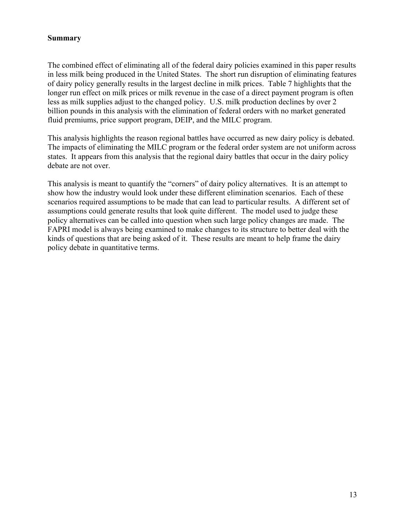#### **Summary**

The combined effect of eliminating all of the federal dairy policies examined in this paper results in less milk being produced in the United States. The short run disruption of eliminating features of dairy policy generally results in the largest decline in milk prices. Table 7 highlights that the longer run effect on milk prices or milk revenue in the case of a direct payment program is often less as milk supplies adjust to the changed policy. U.S. milk production declines by over 2 billion pounds in this analysis with the elimination of federal orders with no market generated fluid premiums, price support program, DEIP, and the MILC program.

This analysis highlights the reason regional battles have occurred as new dairy policy is debated. The impacts of eliminating the MILC program or the federal order system are not uniform across states. It appears from this analysis that the regional dairy battles that occur in the dairy policy debate are not over.

This analysis is meant to quantify the "corners" of dairy policy alternatives. It is an attempt to show how the industry would look under these different elimination scenarios. Each of these scenarios required assumptions to be made that can lead to particular results. A different set of assumptions could generate results that look quite different. The model used to judge these policy alternatives can be called into question when such large policy changes are made. The FAPRI model is always being examined to make changes to its structure to better deal with the kinds of questions that are being asked of it. These results are meant to help frame the dairy policy debate in quantitative terms.